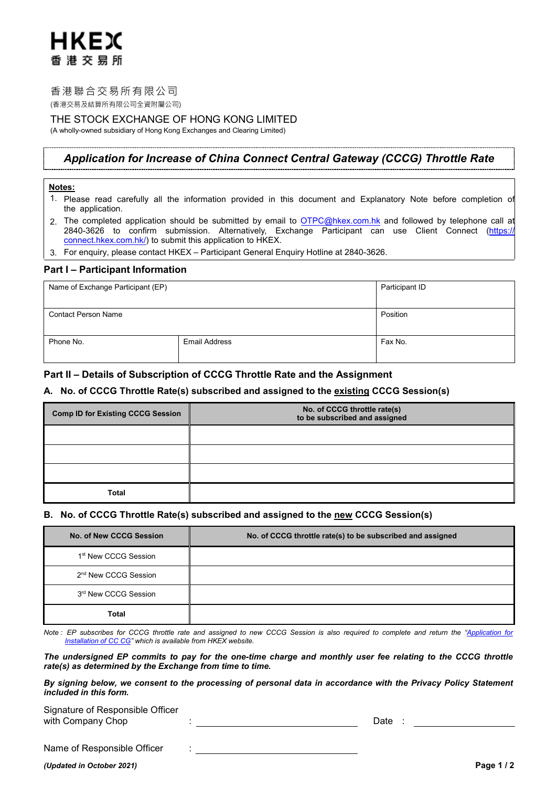# HKFX 香港交易所

# 香港聯合交易所有限公司

(香港交易及結算所有限公司全資附屬公司)

# THE STOCK EXCHANGE OF HONG KONG LIMITED

(A wholly-owned subsidiary of Hong Kong Exchanges and Clearing Limited)

# *Application for Increase of China Connect Central Gateway (CCCG) Throttle Rate*

# **Notes:**

- 1. Please read carefully all the information provided in this document and Explanatory Note before completion of the application.
- 2. The completed application should be submitted by email to <u>OTPC@hkex.com.hk</u> and followed by telephone call at 2840-3626 to confirm submission. Alternatively, Exchange Participant can use Client Connect [\(https://](https://connect.hkex.com.hk/) connect.hkex.com.hk/) to submit this application to HKEX.
- 3. For enquiry, please contact HKEX Participant General Enquiry Hotline at 2840-3626.

# **Part I – Participant Information**

| Name of Exchange Participant (EP) |                      | Participant ID |
|-----------------------------------|----------------------|----------------|
| <b>Contact Person Name</b>        |                      | Position       |
|                                   |                      |                |
| Phone No.                         | <b>Email Address</b> | Fax No.        |
|                                   |                      |                |

# **Part II – Details of Subscription of CCCG Throttle Rate and the Assignment**

# **A. No. of CCCG Throttle Rate(s) subscribed and assigned to the existing CCCG Session(s)**

| <b>Comp ID for Existing CCCG Session</b> | No. of CCCG throttle rate(s)<br>to be subscribed and assigned |  |
|------------------------------------------|---------------------------------------------------------------|--|
|                                          |                                                               |  |
|                                          |                                                               |  |
|                                          |                                                               |  |
| Total                                    |                                                               |  |

# **B. No. of CCCG Throttle Rate(s) subscribed and assigned to the new CCCG Session(s)**

| No. of New CCCG Session          | No. of CCCG throttle rate(s) to be subscribed and assigned |  |
|----------------------------------|------------------------------------------------------------|--|
| 1 <sup>st</sup> New CCCG Session |                                                            |  |
| 2 <sup>nd</sup> New CCCG Session |                                                            |  |
| 3 <sup>rd</sup> New CCCG Session |                                                            |  |
| Total                            |                                                            |  |

*Note : EP subscribes for CCCG throttle rate and assigned to new CCCG Session is also required to complete and return the ["Application for](http://www.hkex.com.hk/-/media/HKEX-Market/Services/Rules-and-Forms-and-Fees/Forms/Securities-(Stock-Connect)/Trading/Operations/Trading-Device/Application_of_CCCG.pdf?la=en)  [Installation of CC CG"](http://www.hkex.com.hk/-/media/HKEX-Market/Services/Rules-and-Forms-and-Fees/Forms/Securities-(Stock-Connect)/Trading/Operations/Trading-Device/Application_of_CCCG.pdf?la=en) which is available from HKEX website.*

*The undersigned EP commits to pay for the one-time charge and monthly user fee relating to the CCCG throttle rate(s) as determined by the Exchange from time to time.* 

*By signing below, we consent to the processing of personal data in accordance with the Privacy Policy Statement included in this form.*

| Signature of Responsible Officer |  |      |  |
|----------------------------------|--|------|--|
| with Company Chop                |  | Date |  |

Name of Responsible Officer :

## *(Updated in October 2021)* **Page 1 / 2**